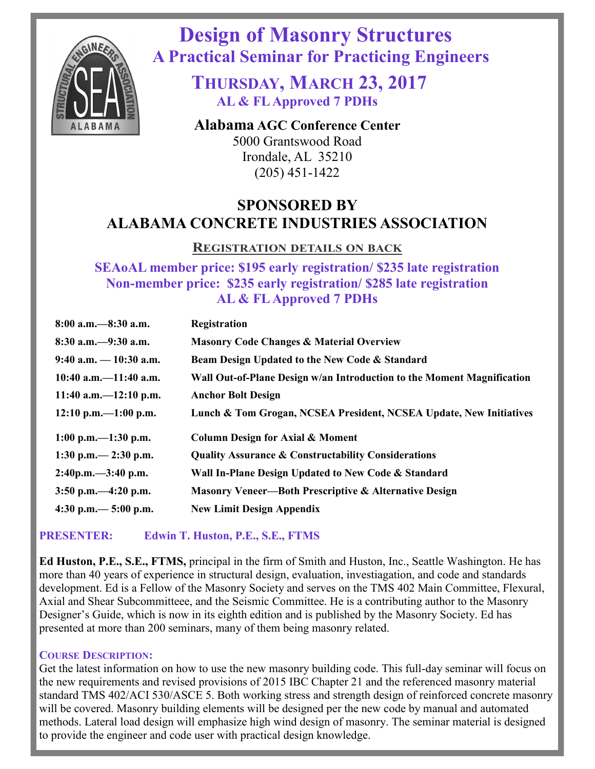

 **Design of Masonry Structures A Practical Seminar for Practicing Engineers**

> **THURSDAY, MARCH 23, 2017 AL & FL Approved 7 PDHs**

**Alabama AGC Conference Center** 5000 Grantswood Road Irondale, AL 35210 (205) 451-1422

# **SPONSORED BY ALABAMA CONCRETE INDUSTRIES ASSOCIATION**

### **REGISTRATION DETAILS ON BACK**

**SEAoAL member price: \$195 early registration/ \$235 late registration Non-member price: \$235 early registration/ \$285 late registration AL & FL Approved 7 PDHs**

| $8:00$ a.m. $-8:30$ a.m.                 | <b>Registration</b>                                                    |  |  |
|------------------------------------------|------------------------------------------------------------------------|--|--|
| $8:30$ a.m. $-9:30$ a.m.                 | <b>Masonry Code Changes &amp; Material Overview</b>                    |  |  |
| $9:40$ a.m. $-10:30$ a.m.                | Beam Design Updated to the New Code & Standard                         |  |  |
| $10:40$ a.m. $-11:40$ a.m.               | Wall Out-of-Plane Design w/an Introduction to the Moment Magnification |  |  |
| 11:40 a.m. $-12:10$ p.m.                 | <b>Anchor Bolt Design</b>                                              |  |  |
| $12:10 \text{ p.m.} - 1:00 \text{ p.m.}$ | Lunch & Tom Grogan, NCSEA President, NCSEA Update, New Initiatives     |  |  |
| 1:00 p.m. $-1:30$ p.m.                   | <b>Column Design for Axial &amp; Moment</b>                            |  |  |
| 1:30 p.m. $-$ 2:30 p.m.                  | <b>Quality Assurance &amp; Constructability Considerations</b>         |  |  |
| $2:40p.m. -3:40 p.m.$                    | Wall In-Plane Design Updated to New Code & Standard                    |  |  |
| $3:50$ p.m. $-4:20$ p.m.                 | <b>Masonry Veneer—Both Prescriptive &amp; Alternative Design</b>       |  |  |
| 4:30 p.m. $-$ 5:00 p.m.                  | <b>New Limit Design Appendix</b>                                       |  |  |

### **PRESENTER: Edwin T. Huston, P.E., S.E., FTMS**

**Ed Huston, P.E., S.E., FTMS,** principal in the firm of Smith and Huston, Inc., Seattle Washington. He has more than 40 years of experience in structural design, evaluation, investiagation, and code and standards development. Ed is a Fellow of the Masonry Society and serves on the TMS 402 Main Committee, Flexural, Axial and Shear Subcommitteee, and the Seismic Committee. He is a contributing author to the Masonry Designer's Guide, which is now in its eighth edition and is published by the Masonry Society. Ed has presented at more than 200 seminars, many of them being masonry related.

#### **COURSE DESCRIPTION:**

Get the latest information on how to use the new masonry building code. This full-day seminar will focus on the new requirements and revised provisions of 2015 IBC Chapter 21 and the referenced masonry material standard TMS 402/ACI 530/ASCE 5. Both working stress and strength design of reinforced concrete masonry will be covered. Masonry building elements will be designed per the new code by manual and automated methods. Lateral load design will emphasize high wind design of masonry. The seminar material is designed to provide the engineer and code user with practical design knowledge.